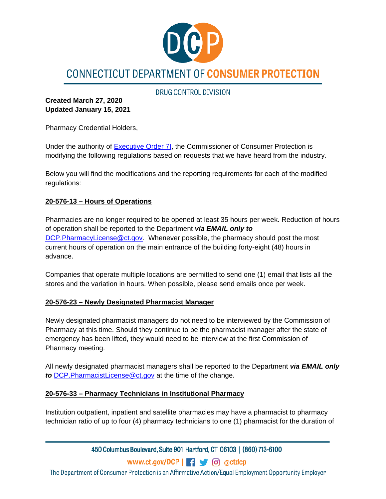

# CONNECTICUT DEPARTMENT OF CONSUMER PROTECTION

DRUG CONTROL DIVISION

**Created March 27, 2020 Updated January 15, 2021**

Pharmacy Credential Holders,

Under the authority of [Executive Order 7I,](https://portal.ct.gov/-/media/Office-of-the-Governor/Executive-Orders/Lamont-Executive-Orders/Executive-Order-No-7I.pdf?la=en) the Commissioner of Consumer Protection is modifying the following regulations based on requests that we have heard from the industry.

Below you will find the modifications and the reporting requirements for each of the modified regulations:

### **20-576-13 – Hours of Operations**

Pharmacies are no longer required to be opened at least 35 hours per week. Reduction of hours of operation shall be reported to the Department *via EMAIL only to* [DCP.PharmacyLicense@ct.gov.](mailto:DCP.PharmacyLicense@ct.gov) Whenever possible, the pharmacy should post the most current hours of operation on the main entrance of the building forty-eight (48) hours in advance.

Companies that operate multiple locations are permitted to send one (1) email that lists all the stores and the variation in hours. When possible, please send emails once per week.

### **20-576-23 – Newly Designated Pharmacist Manager**

Newly designated pharmacist managers do not need to be interviewed by the Commission of Pharmacy at this time. Should they continue to be the pharmacist manager after the state of emergency has been lifted, they would need to be interview at the first Commission of Pharmacy meeting.

All newly designated pharmacist managers shall be reported to the Department *via EMAIL only to* [DCP.PharmacistLicense@ct.gov](mailto:DCP.PharmacistLicense@ct.gov) at the time of the change.

### **20-576-33 – Pharmacy Technicians in Institutional Pharmacy**

Institution outpatient, inpatient and satellite pharmacies may have a pharmacist to pharmacy technician ratio of up to four (4) pharmacy technicians to one (1) pharmacist for the duration of

450 Columbus Boulevard, Suite 901 Hartford, CT 06103 | (860) 713-6100

www.ct.gov/DCP | - | 6 @ctdcp

The Department of Consumer Protection is an Affirmative Action/Equal Employment Opportunity Employer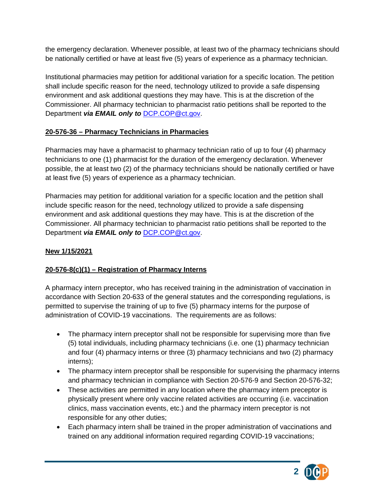the emergency declaration. Whenever possible, at least two of the pharmacy technicians should be nationally certified or have at least five (5) years of experience as a pharmacy technician.

Institutional pharmacies may petition for additional variation for a specific location. The petition shall include specific reason for the need, technology utilized to provide a safe dispensing environment and ask additional questions they may have. This is at the discretion of the Commissioner. All pharmacy technician to pharmacist ratio petitions shall be reported to the Department *via EMAIL only to* [DCP.COP@ct.gov.](mailto:DCP.COP@ct.gov)

# **20-576-36 – Pharmacy Technicians in Pharmacies**

Pharmacies may have a pharmacist to pharmacy technician ratio of up to four (4) pharmacy technicians to one (1) pharmacist for the duration of the emergency declaration. Whenever possible, the at least two (2) of the pharmacy technicians should be nationally certified or have at least five (5) years of experience as a pharmacy technician.

Pharmacies may petition for additional variation for a specific location and the petition shall include specific reason for the need, technology utilized to provide a safe dispensing environment and ask additional questions they may have. This is at the discretion of the Commissioner. All pharmacy technician to pharmacist ratio petitions shall be reported to the Department *via EMAIL only to* [DCP.COP@ct.gov.](mailto:DCP.COP@ct.gov)

# **New 1/15/2021**

# **20-576-8(c)(1) – Registration of Pharmacy Interns**

A pharmacy intern preceptor, who has received training in the administration of vaccination in accordance with Section 20-633 of the general statutes and the corresponding regulations, is permitted to supervise the training of up to five (5) pharmacy interns for the purpose of administration of COVID-19 vaccinations. The requirements are as follows:

- The pharmacy intern preceptor shall not be responsible for supervising more than five (5) total individuals, including pharmacy technicians (i.e. one (1) pharmacy technician and four (4) pharmacy interns or three (3) pharmacy technicians and two (2) pharmacy interns);
- The pharmacy intern preceptor shall be responsible for supervising the pharmacy interns and pharmacy technician in compliance with Section 20-576-9 and Section 20-576-32;
- These activities are permitted in any location where the pharmacy intern preceptor is physically present where only vaccine related activities are occurring (i.e. vaccination clinics, mass vaccination events, etc.) and the pharmacy intern preceptor is not responsible for any other duties;
- Each pharmacy intern shall be trained in the proper administration of vaccinations and trained on any additional information required regarding COVID-19 vaccinations;